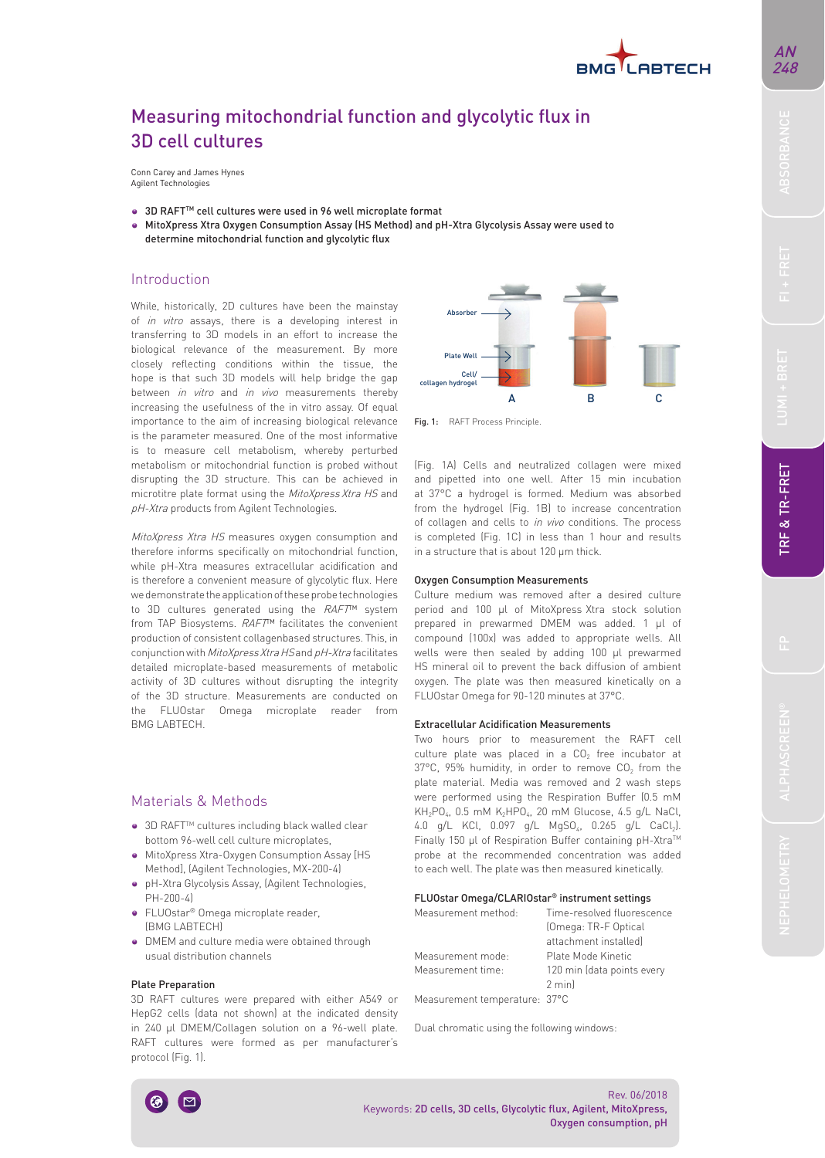

## AN 248

# Measuring mitochondrial function and glycolytic flux in 3D cell cultures

Conn Carey and James Hynes Agilent Technologies

- 3D RAFT<sup>™</sup> cell cultures were used in 96 well microplate format
- MitoXpress Xtra Oxygen Consumption Assay (HS Method) and pH-Xtra Glycolysis Assay were used to determine mitochondrial function and glycolytic flux

## Introduction

While, historically, 2D cultures have been the mainstay of *in vitro* assays, there is a developing interest in transferring to 3D models in an effort to increase the biological relevance of the measurement. By more closely reflecting conditions within the tissue, the hope is that such 3D models will help bridge the gap between in vitro and in vivo measurements thereby increasing the usefulness of the in vitro assay. Of equal importance to the aim of increasing biological relevance is the parameter measured. One of the most informative is to measure cell metabolism, whereby perturbed metabolism or mitochondrial function is probed without disrupting the 3D structure. This can be achieved in microtitre plate format using the MitoXpress Xtra HS and pH-Xtra products from Agilent Technologies.

MitoXpress Xtra HS measures oxygen consumption and therefore informs specifically on mitochondrial function, while pH-Xtra measures extracellular acidification and is therefore a convenient measure of glycolytic flux. Here we demonstrate the application of these probe technologies to 3D cultures generated using the RAFT™ system from TAP Biosystems. RAFT™ facilitates the convenient production of consistent collagenbased structures. This, in conjunction with *MitoXpress Xtra HS* and *pH-Xtra* facilitates detailed microplate-based measurements of metabolic activity of 3D cultures without disrupting the integrity of the 3D structure. Measurements are conducted on the FLUOstar Omega microplate reader from BMG LABTECH.

## Materials & Methods

- 3D RAFT<sup>™</sup> cultures including black walled clear bottom 96-well cell culture microplates,
- MitoXpress Xtra-Oxygen Consumption Assay [HS Method], (Agilent Technologies, MX-200-4)
- pH-Xtra Glycolysis Assay, (Agilent Technologies, PH-200-4)
- FLUOstar® Omega microplate reader, (BMG LABTECH)
- DMEM and culture media were obtained through usual distribution channels

#### Plate Preparation

3D RAFT cultures were prepared with either A549 or HepG2 cells (data not shown) at the indicated density in 240 µl DMEM/Collagen solution on a 96-well plate. RAFT cultures were formed as per manufacturer's protocol (Fig. 1).



Fig. 1: RAFT Process Principle.

(Fig. 1A) Cells and neutralized collagen were mixed and pipetted into one well. After 15 min incubation at 37°C a hydrogel is formed. Medium was absorbed from the hydrogel (Fig. 1B) to increase concentration of collagen and cells to in vivo conditions. The process is completed (Fig. 1C) in less than 1 hour and results in a structure that is about 120 µm thick.

#### Oxygen Consumption Measurements

Culture medium was removed after a desired culture period and 100 µl of MitoXpress Xtra stock solution prepared in prewarmed DMEM was added. 1 µl of compound (100x) was added to appropriate wells. All wells were then sealed by adding 100 ul prewarmed HS mineral oil to prevent the back diffusion of ambient oxygen. The plate was then measured kinetically on a FLUOstar Omega for 90-120 minutes at 37°C.

#### **Extracellular Acidification Measurements**

Two hours prior to measurement the RAFT cell culture plate was placed in a  $CO<sub>2</sub>$  free incubator at  $37^{\circ}$ C, 95% humidity, in order to remove CO<sub>2</sub> from the plate material. Media was removed and 2 wash steps were performed using the Respiration Buffer (0.5 mM  $KH_2PO_4$ , 0.5 mM  $K_2HPO_4$ , 20 mM Glucose, 4.5 g/L NaCl, 4.0 g/L KCl, 0.097 g/L MgSO4, 0.265 g/L CaCl2). Finally 150 µl of Respiration Buffer containing pH-Xtra™ probe at the recommended concentration was added to each well. The plate was then measured kinetically.

#### FLUOstar Omega/CLARIOstar® instrument settings

| Measurement method:           | Time-resolved fluorescence |
|-------------------------------|----------------------------|
|                               | (Omega: TR-F Optical       |
|                               | attachment installed)      |
| Measurement mode:             | Plate Mode Kinetic         |
| Measurement time:             | 120 min (data points every |
|                               | 2 minl                     |
| Measurement temperature: 37°C |                            |

Dual chromatic using the following windows: